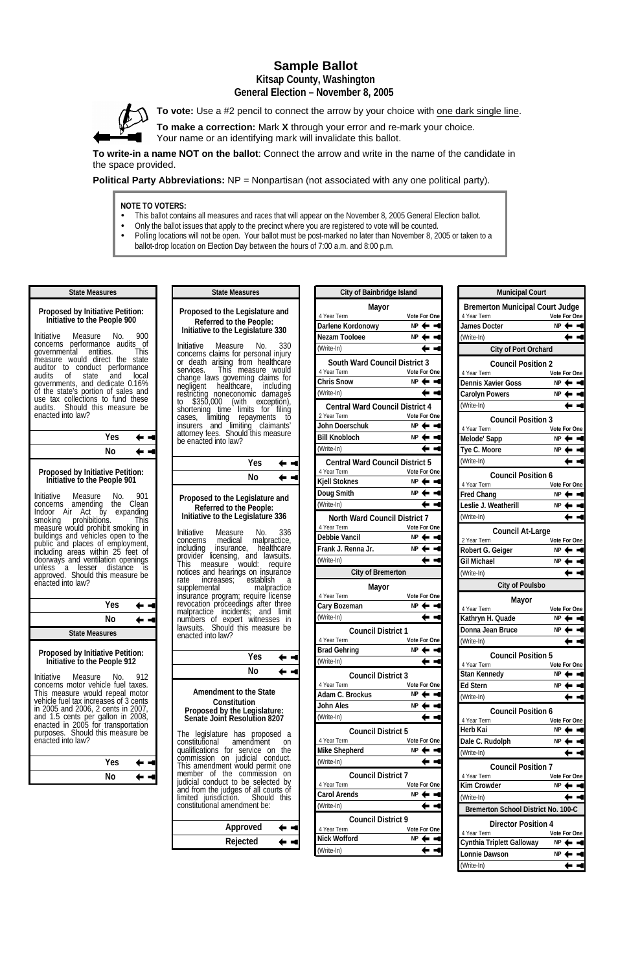# **Sample Ballot**

**Kitsap County, Washington General Election – November 8, 2005** 



**To vote:** Use a #2 pencil to connect the arrow by your choice with one dark single line.

**To make a correction:** Mark **X** through your error and re-mark your choice. Your name or an identifying mark will invalidate this ballot.

**To write-in a name NOT on the ballot**: Connect the arrow and write in the name of the candidate in the space provided.

**Political Party Abbreviations:** NP = Nonpartisan (not associated with any one political party).

- This ballot contains all measures and races that will appear on the November 8, 2005 General Election ballot.
- Only the ballot issues that apply to the precinct where you are registered to vote will be counted.
- Polling locations will not be open. Your ballot must be post-marked no later than November 8, 2005 or taken to a ballot-drop location on Election Day between the hours of 7:00 a.m. and 8:00 p.m.

### **NOTE TO VOTERS:**

Initiative Measure No. 901 concerns amending the Clean Indoor Air Act by expanding smoking prohibitions. This measure would prohibit smoking in buildings and vehicles open to the public and places of employment, including areas within 25 feet of doorways and ventilation openings unless a lesser distance is approved. Should this measure be enacted into law?

## **Proposed by Initiative Petition: Initiative to the People 900**

Initiative Measure No. 900 concerns performance audits of<br>governmental entities. This governmental entities. measure would direct the state auditor to conduct performance audits of state and local governments, and dedicate 0.16% of the state's portion of sales and use tax collections to fund these audits. Should this measure be enacted into law?

**State Measures**

| No<br>⇚ | $\blacksquare$ |
|---------|----------------|

#### **Proposed by Initiative Petition: Initiative to the People 901**

**Initiative to the People 912**  Initiative Measure No. 912 concerns motor vehicle fuel taxes. This measure would repeal motor vehicle fuel tax increases of 3 cents in 2005 and 2006, 2 cents in 2007,

|                                  | Yes |  |
|----------------------------------|-----|--|
|                                  | N٥  |  |
| <b>State Measures</b>            |     |  |
| Proposed by Initiative Petition: |     |  |

and 1.5 cents per gallon in 2008, enacted in 2005 for transportation purposes. Should this measure be enacted into law?

| <b>Yes</b> |  |
|------------|--|
| No         |  |

#### **Proposed to the Legislature and Referred to the People: Initiative to the Legislature 330**

Initiative Measure No. 330 concerns claims for personal injury or death arising from healthcare services. This measure would change laws governing claims for negligent healthcare, including restricting noneconomic damages to \$350,000 (with exception), shortening time limits for filing cases, límiting repayments tŏ insurers and limiting claimants' attorney fees. Should this measure be enacted into law?

**State Measures**

| Yes | ٠ |
|-----|---|
| No  |   |
|     |   |

#### **Proposed to the Legislature and Referred to the People: Initiative to the Legislature 336**

Initiative Measure No. 336 concerns medical malpractice, including insurance, healthcare provider licensing, and lawsuits. This measure would: require notices and hearings on insurance rate increases; establish a<br>supplemental malpractice supplemental insurance program; require license revocation proceedings after three malpractice incidents; and limit numbers of expert witnesses in lawsuits. Should this measure be enacted into law?

|                               | Yes. |  |
|-------------------------------|------|--|
|                               | N٥   |  |
| <b>Amendment to the State</b> |      |  |

**Constitution Proposed by the Legislature:** 

The legislature has proposed a constitutional amendment on qualifications for service on the commission on judicial conduct. This amendment would permit one member of the commission on judicial conduct to be selected by and from the judges of all courts of limited jurisdiction. Should this constitutional amendment be:

| Approved | <b>4. M</b>     |
|----------|-----------------|
| Rejected | <b>CONTRACT</b> |

| <b>City of Bainbridge Island</b>         |                     |
|------------------------------------------|---------------------|
| Mayor                                    |                     |
| 4 Year Term                              | Vote For One        |
| Darlene Kordonowy                        | NΡ                  |
| Nezam Tooloee                            | <b>NP</b>           |
| (Write-In)                               |                     |
| <b>South Ward Council District 3</b>     |                     |
| 4 Year Term                              | Vote For One        |
| <b>Chris Snow</b>                        | NP 4                |
| (Write-In)                               |                     |
| <b>Central Ward Council District 4</b>   |                     |
| 2 Year Term                              | <b>Vote For One</b> |
| John Doerschuk                           | NΡ                  |
| <b>Bill Knobloch</b>                     | ΝP                  |
| (Write-In)                               |                     |
| <b>Central Ward Council District 5</b>   |                     |
| 4 Year Term                              | Vote For One        |
| <b>Kjell Stoknes</b>                     | NP                  |
| Doug Smith                               | NΡ                  |
| (Write-In)                               |                     |
| North Ward Council District 7            |                     |
| 4 Year Term                              | <b>Vote For One</b> |
| Debbie Vancil                            | NP                  |
| Frank J. Renna Jr.                       | ΝP                  |
| (Write-In)                               |                     |
| <b>City of Bremerton</b>                 |                     |
| Mayor                                    |                     |
| 4 Year Term                              | Vote For One        |
| Cary Bozeman                             | NΡ                  |
| (Write-In)                               |                     |
| <b>Council District 1</b><br>4 Year Term | Vote For One        |
| <b>Brad Gehring</b>                      | NΡ                  |
| (Write-In)                               |                     |
| <b>Council District 3</b>                |                     |
| 4 Year Term                              | Vote For One        |
| Adam C. Brockus                          | NΡ                  |
| John Ales                                | ΝP                  |

| (Write-In)                |              |  |
|---------------------------|--------------|--|
| <b>Council District 5</b> |              |  |
| 4 Year Term               | Vote For One |  |
| <b>Mike Shepherd</b>      | NP           |  |
| (Write-In)                |              |  |
| <b>Council District 7</b> |              |  |
| 4 Year Term               | Vote For One |  |
| <b>Carol Arends</b>       | NΡ           |  |
| (Write-In)                |              |  |
| <b>Council District 9</b> |              |  |
| 4 Year Term               | Vote For One |  |
| Nick Wofford              | ΝP           |  |
| (Write-In)                |              |  |

| <b>Municipal Court</b>                                                |                    |  |
|-----------------------------------------------------------------------|--------------------|--|
| <b>Bremerton Municipal Court Judge</b><br>Vote For One<br>4 Year Term |                    |  |
| James Docter                                                          | $NP \leftarrow$    |  |
| (Write-In)                                                            |                    |  |
| City of Port Orchard                                                  |                    |  |
| <b>Council Position 2</b>                                             |                    |  |
| 4 Year Term                                                           | Vote For One       |  |
| <b>Dennis Xavier Goss</b>                                             | NP<br>s.           |  |
| <b>Carolyn Powers</b>                                                 | ΝP                 |  |
| (Write-In)                                                            |                    |  |
| <b>Council Position 3</b>                                             |                    |  |
| 4 Year Term                                                           | Vote For One       |  |
| Melode' Sapp                                                          | ΝP                 |  |
| Tye C. Moore                                                          | NΡ                 |  |
| (Write-In)                                                            |                    |  |
| <b>Council Position 6</b>                                             |                    |  |
| 4 Year Term                                                           | Vote For One<br>ΝP |  |
| <b>Fred Chang</b>                                                     | ΝP                 |  |
| Leslie J. Weatherill                                                  |                    |  |
| (Write-In)                                                            |                    |  |
| <b>Council At-Large</b><br>2 Year Term                                | Vote For One       |  |
| Robert G. Geiger                                                      | NΡ                 |  |
| Gil Michael                                                           | ΝP                 |  |
| (Write-In)                                                            |                    |  |
| <b>City of Poulsbo</b>                                                |                    |  |
| Mayor                                                                 |                    |  |
| 4 Year Term                                                           | Vote For One       |  |
| Kathryn H. Quade                                                      | ΝP                 |  |
| Donna Jean Bruce                                                      | NΡ                 |  |
| (Write-In)                                                            |                    |  |
| <b>Council Position 5</b>                                             |                    |  |
| 4 Year Term                                                           | Vote For One       |  |
| Stan Kennedy                                                          | NΡ                 |  |
| <b>Ed Stern</b>                                                       | ΝP                 |  |
| (Write-In)                                                            |                    |  |

**Council Position 6**

| 4 Year Term                                | <b>Vote For One</b> |  |
|--------------------------------------------|---------------------|--|
| Herb Kai                                   | ΝP                  |  |
| Dale C. Rudolph                            | ΝP                  |  |
| (Write-In)                                 |                     |  |
| <b>Council Position 7</b>                  |                     |  |
| 4 Year Term                                | <b>Vote For One</b> |  |
| Kim Crowder                                | ΝP                  |  |
|                                            |                     |  |
| (Write-In)                                 |                     |  |
| <b>Bremerton School District No. 100-C</b> |                     |  |
| Director Position 4                        |                     |  |
| 4 Year Term                                | <b>Vote For One</b> |  |
| Cynthia Triplett Galloway                  | ΝP                  |  |
| Lonnie Dawson                              | ΝP                  |  |